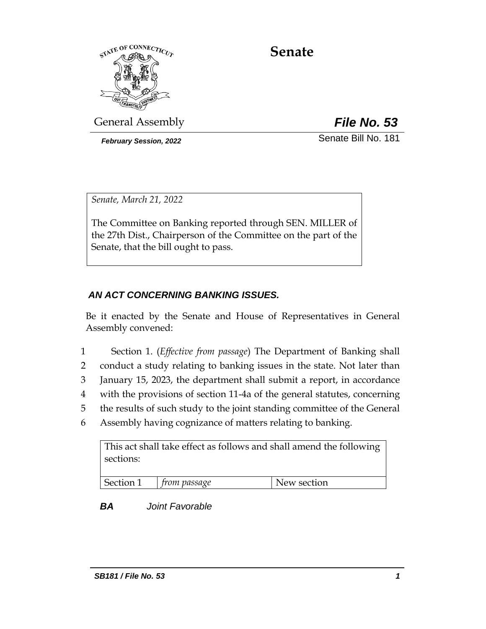

# **Senate**

General Assembly *File No. 53*

*February Session, 2022* Senate Bill No. 181

*Senate, March 21, 2022*

The Committee on Banking reported through SEN. MILLER of the 27th Dist., Chairperson of the Committee on the part of the Senate, that the bill ought to pass.

# *AN ACT CONCERNING BANKING ISSUES.*

Be it enacted by the Senate and House of Representatives in General Assembly convened:

- 1 Section 1. (*Effective from passage*) The Department of Banking shall
- 2 conduct a study relating to banking issues in the state. Not later than
- 3 January 15, 2023, the department shall submit a report, in accordance
- 4 with the provisions of section 11-4a of the general statutes, concerning
- 5 the results of such study to the joint standing committee of the General
- 6 Assembly having cognizance of matters relating to banking.

This act shall take effect as follows and shall amend the following sections:

| Section<br>$\sim$ | passage<br>IM. | N<br>section<br>W. |
|-------------------|----------------|--------------------|

# *BA Joint Favorable*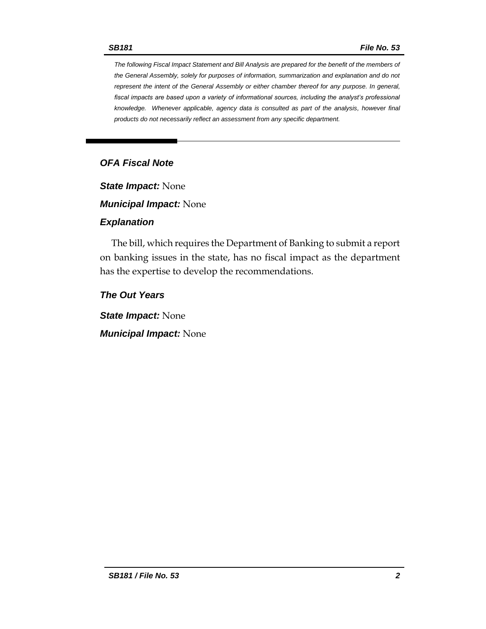*The following Fiscal Impact Statement and Bill Analysis are prepared for the benefit of the members of the General Assembly, solely for purposes of information, summarization and explanation and do not represent the intent of the General Assembly or either chamber thereof for any purpose. In general, fiscal impacts are based upon a variety of informational sources, including the analyst's professional knowledge. Whenever applicable, agency data is consulted as part of the analysis, however final products do not necessarily reflect an assessment from any specific department.*

## *OFA Fiscal Note*

*State Impact:* None

*Municipal Impact:* None

#### *Explanation*

The bill, which requires the Department of Banking to submit a report on banking issues in the state, has no fiscal impact as the department has the expertise to develop the recommendations.

*The Out Years*

*State Impact:* None

*Municipal Impact:* None